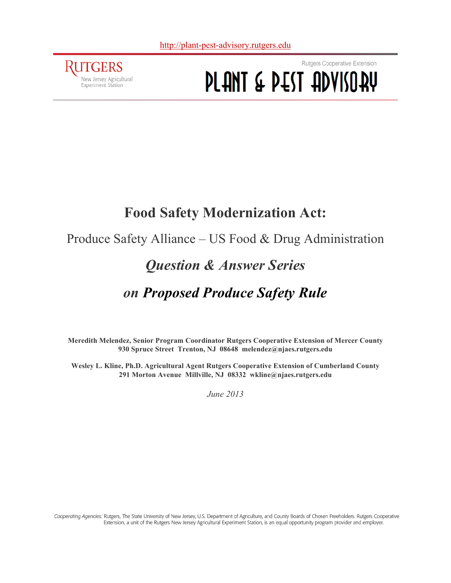

Rutgers Cooperative Extension PLANT & PEST ADVISORY

# **Food Safety Modernization Act:**

# Produce Safety Alliance – US Food & Drug Administration

# *Question & Answer Series*

# *on Proposed Produce Safety Rule*

**Meredith Melendez, Senior Program Coordinator Rutgers Cooperative Extension of Mercer County 930 Spruce Street Trenton, NJ 08648 melendez@njaes.rutgers.edu**

**Wesley L. Kline, Ph.D. Agricultural Agent Rutgers Cooperative Extension of Cumberland County 291 Morton Avenue Millville, NJ 08332 wkline@njaes.rutgers.edu**

*June 2013*

Cooperating Agencies: Rutgers, The State University of New Jersey, U.S. Department of Agriculture, and County Boards of Chosen Freeholders. Rutgers Cooperative Extension, a unit of the Rutgers New Jersey Agricultural Experiment Station, is an equal opportunity program provider and employer.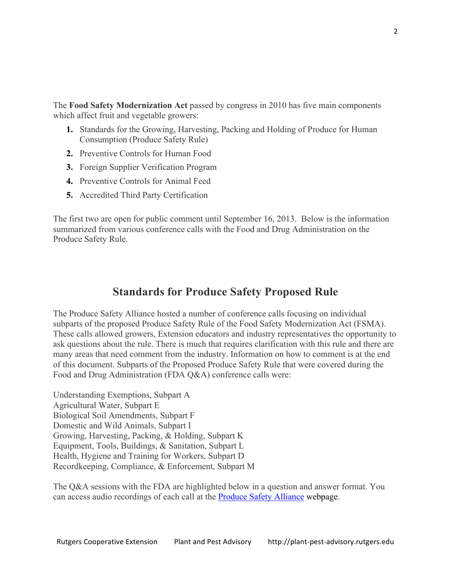The **Food Safety Modernization Act** passed by congress in 2010 has five main components which affect fruit and vegetable growers:

- **1.** Standards for the Growing, Harvesting, Packing and Holding of Produce for Human Consumption (Produce Safety Rule)
- **2.** Preventive Controls for Human Food
- **3.** Foreign Supplier Verification Program
- **4.** Preventive Controls for Animal Feed
- **5.** Accredited Third Party Certification

The first two are open for public comment until September 16, 2013. Below is the information summarized from various conference calls with the Food and Drug Administration on the Produce Safety Rule.

# **Standards for Produce Safety Proposed Rule**

The Produce Safety Alliance hosted a number of conference calls focusing on individual subparts of the proposed Produce Safety Rule of the Food Safety Modernization Act (FSMA). These calls allowed growers, Extension educators and industry representatives the opportunity to ask questions about the rule. There is much that requires clarification with this rule and there are many areas that need comment from the industry. Information on how to comment is at the end of this document. Subparts of the Proposed Produce Safety Rule that were covered during the Food and Drug Administration (FDA Q&A) conference calls were:

Understanding Exemptions, Subpart A Agricultural Water, Subpart E Biological Soil Amendments, Subpart F Domestic and Wild Animals, Subpart I Growing, Harvesting, Packing, & Holding, Subpart K Equipment, Tools, Buildings, & Sanitation, Subpart L Health, Hygiene and Training for Workers, Subpart D Recordkeeping, Compliance, & Enforcement, Subpart M

The Q&A sessions with the FDA are highlighted below in a question and answer format. You can access audio recordings of each call at the [Produce Safety Alliance](http://producesafetyalliance.cornell.edu/news.html) webpage.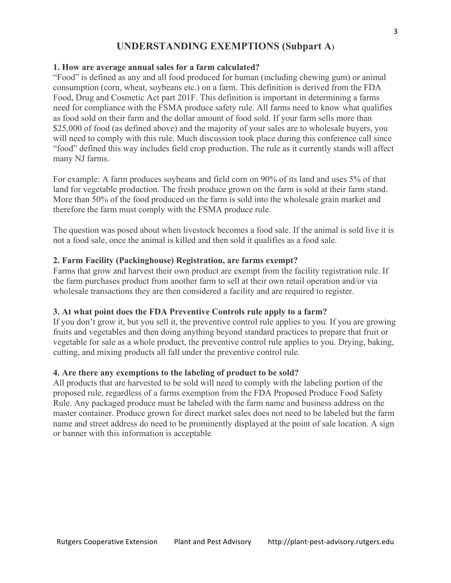# **UNDERSTANDING EXEMPTIONS (Subpart A**)

#### **1. How are average annual sales for a farm calculated?**

"Food" is defined as any and all food produced for human (including chewing gum) or animal consumption (corn, wheat, soybeans etc.) on a farm. This definition is derived from the FDA Food, Drug and Cosmetic Act part 201F. This definition is important in determining a farms need for compliance with the FSMA produce safety rule. All farms need to know what qualifies as food sold on their farm and the dollar amount of food sold. If your farm sells more than \$25,000 of food (as defined above) and the majority of your sales are to wholesale buyers, you will need to comply with this rule. Much discussion took place during this conference call since "food" defined this way includes field crop production. The rule as it currently stands will affect many NJ farms.

For example: A farm produces soybeans and field corn on 90% of its land and uses 5% of that land for vegetable production. The fresh produce grown on the farm is sold at their farm stand. More than 50% of the food produced on the farm is sold into the wholesale grain market and therefore the farm must comply with the FSMA produce rule.

The question was posed about when livestock becomes a food sale. If the animal is sold live it is not a food sale, once the animal is killed and then sold it qualifies as a food sale.

#### **2. Farm Facility (Packinghouse) Registration, are farms exempt?**

Farms that grow and harvest their own product are exempt from the facility registration rule. If the farm purchases product from another farm to sell at their own retail operation and/or via wholesale transactions they are then considered a facility and are required to register.

#### **3. At what point does the FDA Preventive Controls rule apply to a farm?**

If you don't grow it, but you sell it, the preventive control rule applies to you. If you are growing fruits and vegetables and then doing anything beyond standard practices to prepare that fruit or vegetable for sale as a whole product, the preventive control rule applies to you. Drying, baking, cutting, and mixing products all fall under the preventive control rule.

#### **4. Are there any exemptions to the labeling of product to be sold?**

All products that are harvested to be sold will need to comply with the labeling portion of the proposed rule, regardless of a farms exemption from the FDA Proposed Produce Food Safety Rule. Any packaged produce must be labeled with the farm name and business address on the master container. Produce grown for direct market sales does not need to be labeled but the farm name and street address do need to be prominently displayed at the point of sale location. A sign or banner with this information is acceptable.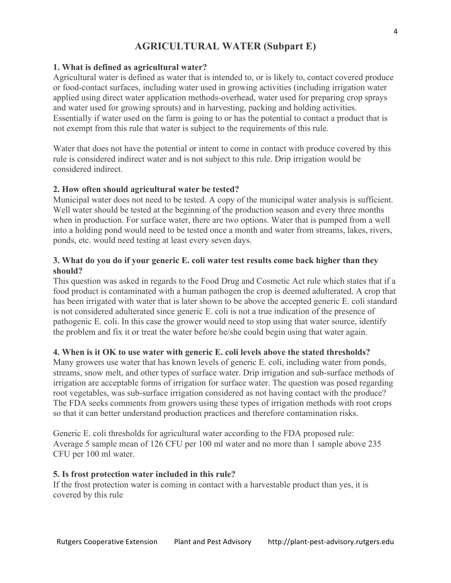# **AGRICULTURAL WATER (Subpart E)**

#### **1. What is defined as agricultural water?**

Agricultural water is defined as water that is intended to, or is likely to, contact covered produce or food-contact surfaces, including water used in growing activities (including irrigation water applied using direct water application methods-overhead, water used for preparing crop sprays and water used for growing sprouts) and in harvesting, packing and holding activities. Essentially if water used on the farm is going to or has the potential to contact a product that is not exempt from this rule that water is subject to the requirements of this rule.

Water that does not have the potential or intent to come in contact with produce covered by this rule is considered indirect water and is not subject to this rule. Drip irrigation would be considered indirect.

#### **2. How often should agricultural water be tested?**

Municipal water does not need to be tested. A copy of the municipal water analysis is sufficient. Well water should be tested at the beginning of the production season and every three months when in production. For surface water, there are two options. Water that is pumped from a well into a holding pond would need to be tested once a month and water from streams, lakes, rivers, ponds, etc. would need testing at least every seven days.

#### **3. What do you do if your generic E. coli water test results come back higher than they should?**

This question was asked in regards to the Food Drug and Cosmetic Act rule which states that if a food product is contaminated with a human pathogen the crop is deemed adulterated. A crop that has been irrigated with water that is later shown to be above the accepted generic E. coli standard is not considered adulterated since generic E. coli is not a true indication of the presence of pathogenic E. coli. In this case the grower would need to stop using that water source, identify the problem and fix it or treat the water before he/she could begin using that water again.

#### **4. When is it OK to use water with generic E. coli levels above the stated thresholds?**

Many growers use water that has known levels of generic E. coli, including water from ponds, streams, snow melt, and other types of surface water. Drip irrigation and sub-surface methods of irrigation are acceptable forms of irrigation for surface water. The question was posed regarding root vegetables, was sub-surface irrigation considered as not having contact with the produce? The FDA seeks comments from growers using these types of irrigation methods with root crops so that it can better understand production practices and therefore contamination risks.

Generic E. coli thresholds for agricultural water according to the FDA proposed rule: Average 5 sample mean of 126 CFU per 100 ml water and no more than 1 sample above 235 CFU per 100 ml water.

#### **5. Is frost protection water included in this rule?**

If the frost protection water is coming in contact with a harvestable product than yes, it is covered by this rule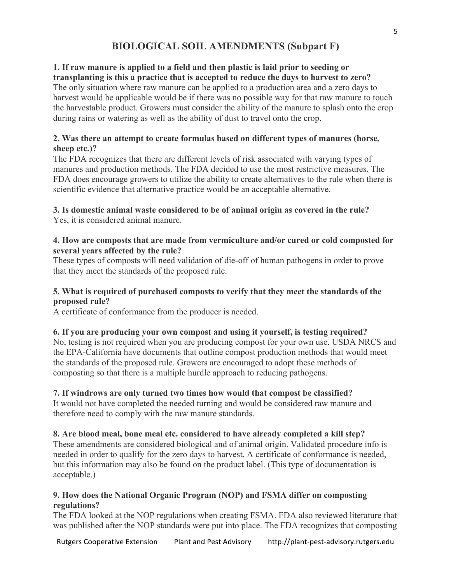# **BIOLOGICAL SOIL AMENDMENTS (Subpart F)**

#### **1. If raw manure is applied to a field and then plastic is laid prior to seeding or transplanting is this a practice that is accepted to reduce the days to harvest to zero?**

The only situation where raw manure can be applied to a production area and a zero days to harvest would be applicable would be if there was no possible way for that raw manure to touch the harvestable product. Growers must consider the ability of the manure to splash onto the crop during rains or watering as well as the ability of dust to travel onto the crop.

## **2. Was there an attempt to create formulas based on different types of manures (horse, sheep etc.)?**

The FDA recognizes that there are different levels of risk associated with varying types of manures and production methods. The FDA decided to use the most restrictive measures. The FDA does encourage growers to utilize the ability to create alternatives to the rule when there is scientific evidence that alternative practice would be an acceptable alternative.

# **3. Is domestic animal waste considered to be of animal origin as covered in the rule?**

Yes, it is considered animal manure.

### **4. How are composts that are made from vermiculture and/or cured or cold composted for several years affected by the rule?**

These types of composts will need validation of die-off of human pathogens in order to prove that they meet the standards of the proposed rule.

## **5. What is required of purchased composts to verify that they meet the standards of the proposed rule?**

A certificate of conformance from the producer is needed.

# **6. If you are producing your own compost and using it yourself, is testing required?**

No, testing is not required when you are producing compost for your own use. USDA NRCS and the EPA-California have documents that outline compost production methods that would meet the standards of the proposed rule. Growers are encouraged to adopt these methods of composting so that there is a multiple hurdle approach to reducing pathogens.

# **7. If windrows are only turned two times how would that compost be classified?**

It would not have completed the needed turning and would be considered raw manure and therefore need to comply with the raw manure standards.

# **8. Are blood meal, bone meal etc. considered to have already completed a kill step?**

These amendments are considered biological and of animal origin. Validated procedure info is needed in order to qualify for the zero days to harvest. A certificate of conformance is needed, but this information may also be found on the product label. (This type of documentation is acceptable.)

### **9. How does the National Organic Program (NOP) and FSMA differ on composting regulations?**

The FDA looked at the NOP regulations when creating FSMA. FDA also reviewed literature that was published after the NOP standards were put into place. The FDA recognizes that composting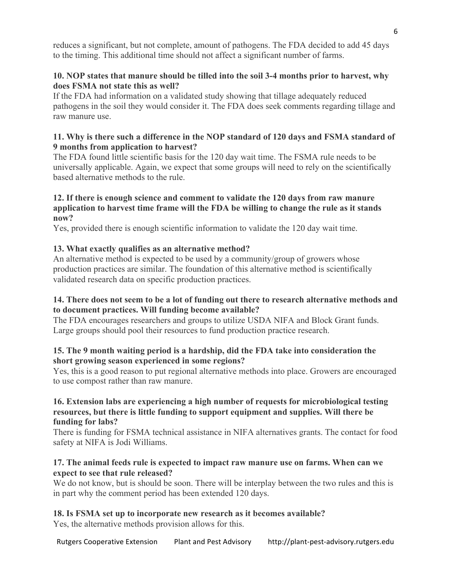reduces a significant, but not complete, amount of pathogens. The FDA decided to add 45 days to the timing. This additional time should not affect a significant number of farms.

# **10. NOP states that manure should be tilled into the soil 3-4 months prior to harvest, why does FSMA not state this as well?**

If the FDA had information on a validated study showing that tillage adequately reduced pathogens in the soil they would consider it. The FDA does seek comments regarding tillage and raw manure use.

## **11. Why is there such a difference in the NOP standard of 120 days and FSMA standard of 9 months from application to harvest?**

The FDA found little scientific basis for the 120 day wait time. The FSMA rule needs to be universally applicable. Again, we expect that some groups will need to rely on the scientifically based alternative methods to the rule.

#### **12. If there is enough science and comment to validate the 120 days from raw manure application to harvest time frame will the FDA be willing to change the rule as it stands now?**

Yes, provided there is enough scientific information to validate the 120 day wait time.

# **13. What exactly qualifies as an alternative method?**

An alternative method is expected to be used by a community/group of growers whose production practices are similar. The foundation of this alternative method is scientifically validated research data on specific production practices.

# **14. There does not seem to be a lot of funding out there to research alternative methods and to document practices. Will funding become available?**

The FDA encourages researchers and groups to utilize USDA NIFA and Block Grant funds. Large groups should pool their resources to fund production practice research.

# **15. The 9 month waiting period is a hardship, did the FDA take into consideration the short growing season experienced in some regions?**

Yes, this is a good reason to put regional alternative methods into place. Growers are encouraged to use compost rather than raw manure.

#### **16. Extension labs are experiencing a high number of requests for microbiological testing resources, but there is little funding to support equipment and supplies. Will there be funding for labs?**

There is funding for FSMA technical assistance in NIFA alternatives grants. The contact for food safety at NIFA is Jodi Williams.

#### **17. The animal feeds rule is expected to impact raw manure use on farms. When can we expect to see that rule released?**

We do not know, but is should be soon. There will be interplay between the two rules and this is in part why the comment period has been extended 120 days.

# **18. Is FSMA set up to incorporate new research as it becomes available?**

Yes, the alternative methods provision allows for this.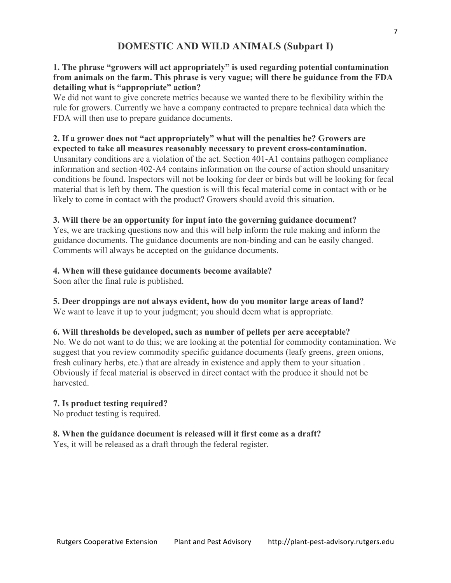# **DOMESTIC AND WILD ANIMALS (Subpart I)**

## **1. The phrase "growers will act appropriately" is used regarding potential contamination from animals on the farm. This phrase is very vague; will there be guidance from the FDA detailing what is "appropriate" action?**

We did not want to give concrete metrics because we wanted there to be flexibility within the rule for growers. Currently we have a company contracted to prepare technical data which the FDA will then use to prepare guidance documents.

#### **2. If a grower does not "act appropriately" what will the penalties be? Growers are expected to take all measures reasonably necessary to prevent cross-contamination.**

Unsanitary conditions are a violation of the act. Section 401-A1 contains pathogen compliance information and section 402-A4 contains information on the course of action should unsanitary conditions be found. Inspectors will not be looking for deer or birds but will be looking for fecal material that is left by them. The question is will this fecal material come in contact with or be likely to come in contact with the product? Growers should avoid this situation.

### **3. Will there be an opportunity for input into the governing guidance document?**

Yes, we are tracking questions now and this will help inform the rule making and inform the guidance documents. The guidance documents are non-binding and can be easily changed. Comments will always be accepted on the guidance documents.

### **4. When will these guidance documents become available?**

Soon after the final rule is published.

# **5. Deer droppings are not always evident, how do you monitor large areas of land?**

We want to leave it up to your judgment; you should deem what is appropriate.

# **6. Will thresholds be developed, such as number of pellets per acre acceptable?**

No. We do not want to do this; we are looking at the potential for commodity contamination. We suggest that you review commodity specific guidance documents (leafy greens, green onions, fresh culinary herbs, etc.) that are already in existence and apply them to your situation . Obviously if fecal material is observed in direct contact with the produce it should not be harvested.

# **7. Is product testing required?**

No product testing is required.

# **8. When the guidance document is released will it first come as a draft?**

Yes, it will be released as a draft through the federal register.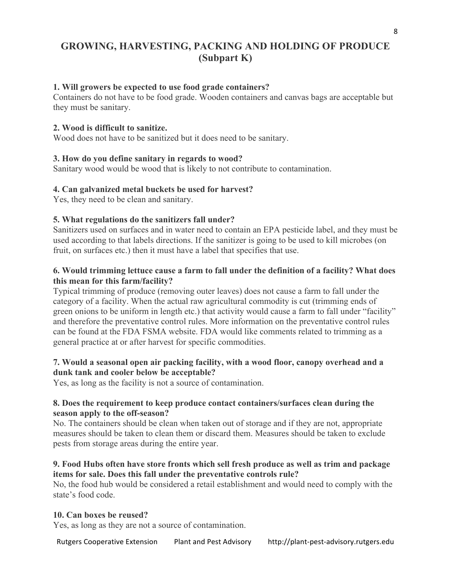# **GROWING, HARVESTING, PACKING AND HOLDING OF PRODUCE (Subpart K)**

#### **1. Will growers be expected to use food grade containers?**

Containers do not have to be food grade. Wooden containers and canvas bags are acceptable but they must be sanitary.

#### **2. Wood is difficult to sanitize.**

Wood does not have to be sanitized but it does need to be sanitary.

#### **3. How do you define sanitary in regards to wood?**

Sanitary wood would be wood that is likely to not contribute to contamination.

#### **4. Can galvanized metal buckets be used for harvest?**

Yes, they need to be clean and sanitary.

#### **5. What regulations do the sanitizers fall under?**

Sanitizers used on surfaces and in water need to contain an EPA pesticide label, and they must be used according to that labels directions. If the sanitizer is going to be used to kill microbes (on fruit, on surfaces etc.) then it must have a label that specifies that use.

## **6. Would trimming lettuce cause a farm to fall under the definition of a facility? What does this mean for this farm/facility?**

Typical trimming of produce (removing outer leaves) does not cause a farm to fall under the category of a facility. When the actual raw agricultural commodity is cut (trimming ends of green onions to be uniform in length etc.) that activity would cause a farm to fall under "facility" and therefore the preventative control rules. More information on the preventative control rules can be found at the FDA FSMA website. FDA would like comments related to trimming as a general practice at or after harvest for specific commodities.

### **7. Would a seasonal open air packing facility, with a wood floor, canopy overhead and a dunk tank and cooler below be acceptable?**

Yes, as long as the facility is not a source of contamination.

### **8. Does the requirement to keep produce contact containers/surfaces clean during the season apply to the off-season?**

No. The containers should be clean when taken out of storage and if they are not, appropriate measures should be taken to clean them or discard them. Measures should be taken to exclude pests from storage areas during the entire year.

#### **9. Food Hubs often have store fronts which sell fresh produce as well as trim and package items for sale. Does this fall under the preventative controls rule?**

No, the food hub would be considered a retail establishment and would need to comply with the state's food code.

#### **10. Can boxes be reused?**

Yes, as long as they are not a source of contamination.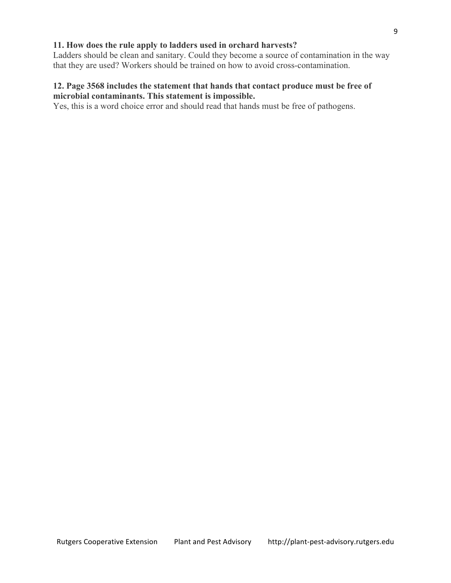#### **11. How does the rule apply to ladders used in orchard harvests?**

Ladders should be clean and sanitary. Could they become a source of contamination in the way that they are used? Workers should be trained on how to avoid cross-contamination.

#### **12. Page 3568 includes the statement that hands that contact produce must be free of microbial contaminants. This statement is impossible.**

Yes, this is a word choice error and should read that hands must be free of pathogens.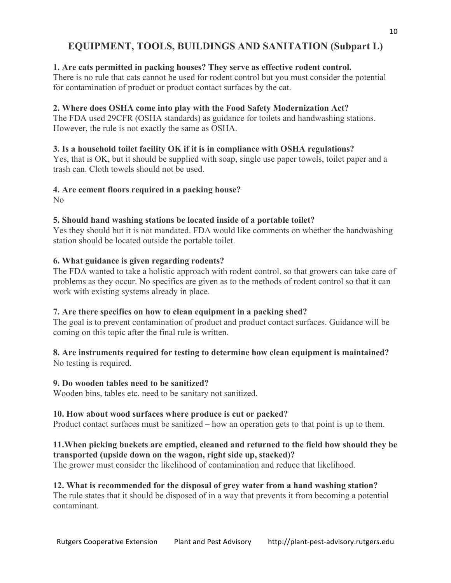# **EQUIPMENT, TOOLS, BUILDINGS AND SANITATION (Subpart L)**

#### **1. Are cats permitted in packing houses? They serve as effective rodent control.**

There is no rule that cats cannot be used for rodent control but you must consider the potential for contamination of product or product contact surfaces by the cat.

## **2. Where does OSHA come into play with the Food Safety Modernization Act?**

The FDA used 29CFR (OSHA standards) as guidance for toilets and handwashing stations. However, the rule is not exactly the same as OSHA.

### **3. Is a household toilet facility OK if it is in compliance with OSHA regulations?**

Yes, that is OK, but it should be supplied with soap, single use paper towels, toilet paper and a trash can. Cloth towels should not be used.

### **4. Are cement floors required in a packing house?**

No

### **5. Should hand washing stations be located inside of a portable toilet?**

Yes they should but it is not mandated. FDA would like comments on whether the handwashing station should be located outside the portable toilet.

### **6. What guidance is given regarding rodents?**

The FDA wanted to take a holistic approach with rodent control, so that growers can take care of problems as they occur. No specifics are given as to the methods of rodent control so that it can work with existing systems already in place.

# **7. Are there specifics on how to clean equipment in a packing shed?**

The goal is to prevent contamination of product and product contact surfaces. Guidance will be coming on this topic after the final rule is written.

# **8. Are instruments required for testing to determine how clean equipment is maintained?**

No testing is required.

#### **9. Do wooden tables need to be sanitized?**

Wooden bins, tables etc. need to be sanitary not sanitized.

#### **10. How about wood surfaces where produce is cut or packed?**

Product contact surfaces must be sanitized – how an operation gets to that point is up to them.

# **11.When picking buckets are emptied, cleaned and returned to the field how should they be transported (upside down on the wagon, right side up, stacked)?**

The grower must consider the likelihood of contamination and reduce that likelihood.

# **12. What is recommended for the disposal of grey water from a hand washing station?**

The rule states that it should be disposed of in a way that prevents it from becoming a potential contaminant.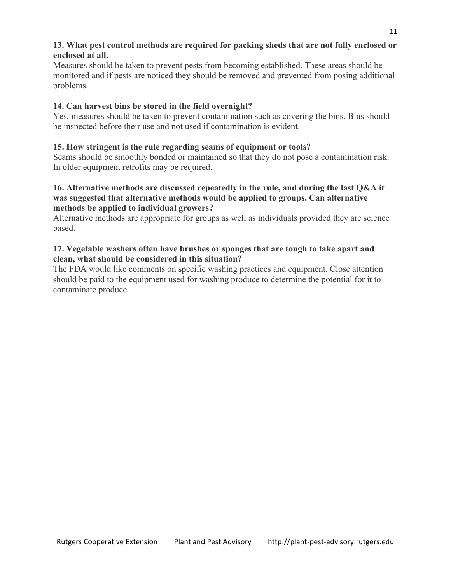# **13. What pest control methods are required for packing sheds that are not fully enclosed or enclosed at all.**

Measures should be taken to prevent pests from becoming established. These areas should be monitored and if pests are noticed they should be removed and prevented from posing additional problems.

# **14. Can harvest bins be stored in the field overnight?**

Yes, measures should be taken to prevent contamination such as covering the bins. Bins should be inspected before their use and not used if contamination is evident.

# **15. How stringent is the rule regarding seams of equipment or tools?**

Seams should be smoothly bonded or maintained so that they do not pose a contamination risk. In older equipment retrofits may be required.

### **16. Alternative methods are discussed repeatedly in the rule, and during the last Q&A it was suggested that alternative methods would be applied to groups. Can alternative methods be applied to individual growers?**

Alternative methods are appropriate for groups as well as individuals provided they are science based.

# **17. Vegetable washers often have brushes or sponges that are tough to take apart and clean, what should be considered in this situation?**

The FDA would like comments on specific washing practices and equipment. Close attention should be paid to the equipment used for washing produce to determine the potential for it to contaminate produce.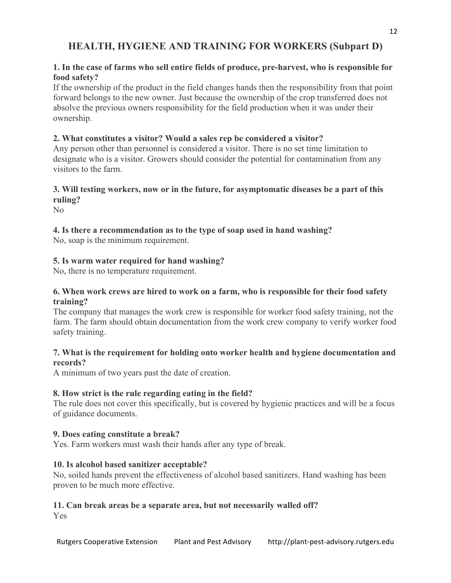# **HEALTH, HYGIENE AND TRAINING FOR WORKERS (Subpart D)**

## **1. In the case of farms who sell entire fields of produce, pre-harvest, who is responsible for food safety?**

If the ownership of the product in the field changes hands then the responsibility from that point forward belongs to the new owner. Just because the ownership of the crop transferred does not absolve the previous owners responsibility for the field production when it was under their ownership.

### **2. What constitutes a visitor? Would a sales rep be considered a visitor?**

Any person other than personnel is considered a visitor. There is no set time limitation to designate who is a visitor. Growers should consider the potential for contamination from any visitors to the farm.

## **3. Will testing workers, now or in the future, for asymptomatic diseases be a part of this ruling?**

No

### **4. Is there a recommendation as to the type of soap used in hand washing?**

No, soap is the minimum requirement.

### **5. Is warm water required for hand washing?**

No, there is no temperature requirement.

#### **6. When work crews are hired to work on a farm, who is responsible for their food safety training?**

The company that manages the work crew is responsible for worker food safety training, not the farm. The farm should obtain documentation from the work crew company to verify worker food safety training.

#### **7. What is the requirement for holding onto worker health and hygiene documentation and records?**

A minimum of two years past the date of creation.

#### **8. How strict is the rule regarding eating in the field?**

The rule does not cover this specifically, but is covered by hygienic practices and will be a focus of guidance documents.

#### **9. Does eating constitute a break?**

Yes. Farm workers must wash their hands after any type of break.

#### **10. Is alcohol based sanitizer acceptable?**

No, soiled hands prevent the effectiveness of alcohol based sanitizers. Hand washing has been proven to be much more effective.

#### **11. Can break areas be a separate area, but not necessarily walled off?**

Yes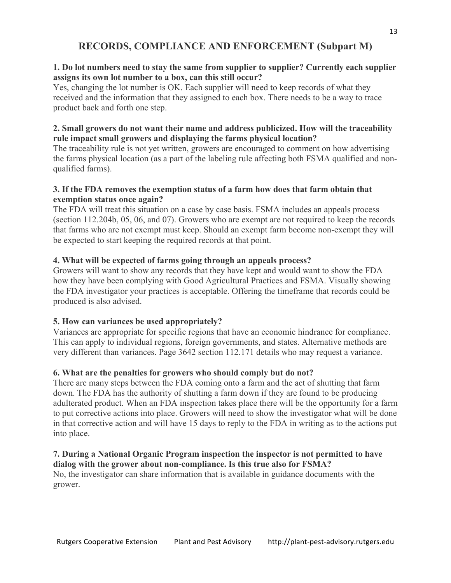# **RECORDS, COMPLIANCE AND ENFORCEMENT (Subpart M)**

# **1. Do lot numbers need to stay the same from supplier to supplier? Currently each supplier assigns its own lot number to a box, can this still occur?**

Yes, changing the lot number is OK. Each supplier will need to keep records of what they received and the information that they assigned to each box. There needs to be a way to trace product back and forth one step.

# **2. Small growers do not want their name and address publicized. How will the traceability rule impact small growers and displaying the farms physical location?**

The traceability rule is not yet written, growers are encouraged to comment on how advertising the farms physical location (as a part of the labeling rule affecting both FSMA qualified and nonqualified farms).

# **3. If the FDA removes the exemption status of a farm how does that farm obtain that exemption status once again?**

The FDA will treat this situation on a case by case basis. FSMA includes an appeals process (section 112.204b, 05, 06, and 07). Growers who are exempt are not required to keep the records that farms who are not exempt must keep. Should an exempt farm become non-exempt they will be expected to start keeping the required records at that point.

# **4. What will be expected of farms going through an appeals process?**

Growers will want to show any records that they have kept and would want to show the FDA how they have been complying with Good Agricultural Practices and FSMA. Visually showing the FDA investigator your practices is acceptable. Offering the timeframe that records could be produced is also advised.

# **5. How can variances be used appropriately?**

Variances are appropriate for specific regions that have an economic hindrance for compliance. This can apply to individual regions, foreign governments, and states. Alternative methods are very different than variances. Page 3642 section 112.171 details who may request a variance.

# **6. What are the penalties for growers who should comply but do not?**

There are many steps between the FDA coming onto a farm and the act of shutting that farm down. The FDA has the authority of shutting a farm down if they are found to be producing adulterated product. When an FDA inspection takes place there will be the opportunity for a farm to put corrective actions into place. Growers will need to show the investigator what will be done in that corrective action and will have 15 days to reply to the FDA in writing as to the actions put into place.

### **7. During a National Organic Program inspection the inspector is not permitted to have dialog with the grower about non-compliance. Is this true also for FSMA?**

No, the investigator can share information that is available in guidance documents with the grower.